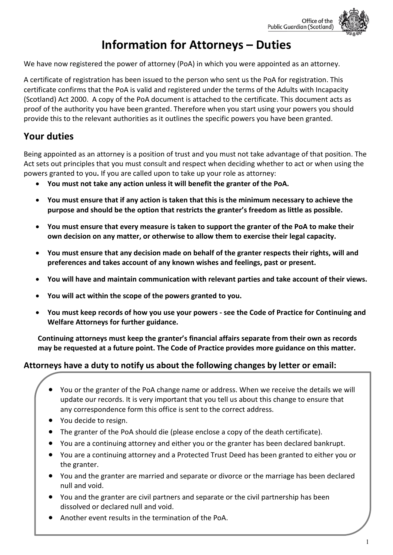

# **Information for Attorneys – Duties**

We have now registered the power of attorney (PoA) in which you were appointed as an attorney.

A certificate of registration has been issued to the person who sent us the PoA for registration. This certificate confirms that the PoA is valid and registered under the terms of the Adults with Incapacity (Scotland) Act 2000. A copy of the PoA document is attached to the certificate. This document acts as proof of the authority you have been granted. Therefore when you start using your powers you should provide this to the relevant authorities as it outlines the specific powers you have been granted.

# **Your duties**

Being appointed as an attorney is a position of trust and you must not take advantage of that position. The Act sets out principles that you must consult and respect when deciding whether to act or when using the powers granted to you**.** If you are called upon to take up your role as attorney:

- **You must not take any action unless it will benefit the granter of the PoA.**
- **You must ensure that if any action is taken that this is the minimum necessary to achieve the purpose and should be the option that restricts the granter's freedom as little as possible.**
- **You must ensure that every measure is taken to support the granter of the PoA to make their own decision on any matter, or otherwise to allow them to exercise their legal capacity.**
- **You must ensure that any decision made on behalf of the granter respects their rights, will and preferences and takes account of any known wishes and feelings, past or present.**
- **You will have and maintain communication with relevant parties and take account of their views.**
- **You will act within the scope of the powers granted to you.**
- **You must keep records of how you use your powers - see the Code of Practice for Continuing and Welfare Attorneys for further guidance.**

**Continuing attorneys must keep the granter's financial affairs separate from their own as records may be requested at a future point. The Code of Practice provides more guidance on this matter.**

### **Attorneys have a duty to notify us about the following changes by letter or email:**

- You or the granter of the PoA change name or address. When we receive the details we will update our records. It is very important that you tell us about this change to ensure that any correspondence form this office is sent to the correct address.
- You decide to resign.
- The granter of the PoA should die (please enclose a copy of the death certificate).
- You are a continuing attorney and either you or the granter has been declared bankrupt.
- You are a continuing attorney and a Protected Trust Deed has been granted to either you or the granter.
- You and the granter are married and separate or divorce or the marriage has been declared null and void.
- You and the granter are civil partners and separate or the civil partnership has been dissolved or declared null and void.
- Another event results in the termination of the PoA.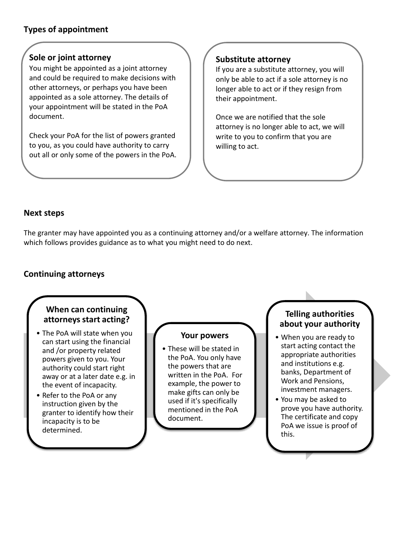# **Types of appointment**

#### **Sole or joint attorney**

You might be appointed as a joint attorney and could be required to make decisions with other attorneys, or perhaps you have been appointed as a sole attorney. The details of your appointment will be stated in the PoA document.

out all or only some of the powers in the PoA.<br>
<sub>N</sub> Check your PoA for the list of powers granted to you, as you could have authority to carry

#### **Substitute attorney**

If you are a substitute attorney, you will only be able to act if a sole attorney is no longer able to act or if they resign from their appointment.

Once we are notified that the sole attorney is no longer able to act, we will write to you to confirm that you are willing to act.

#### **Next steps**

The granter may have appointed you as a continuing attorney and/or a welfare attorney. The information which follows provides guidance as to what you might need to do next.

#### **Continuing attorneys**

#### **When can continuing attorneys start acting?**  • The PoA will state when you can start using the financial and /or property related powers given to you. Your authority could start right away or at a later date e.g. in the event of incapacity. • Refer to the PoA or any instruction given by the granter to identify how their incapacity is to be determined. **Your powers** • These will be stated in the PoA. You only have the powers that are written in the PoA. For example, the power to make gifts can only be used if it's specifically mentioned in the PoA document. **Telling authorities about your authority** • When you are ready to start acting contact the appropriate authorities and institutions e.g. banks, Department of Work and Pensions, investment managers. • You may be asked to prove you have authority. The certificate and copy PoA we issue is proof of this.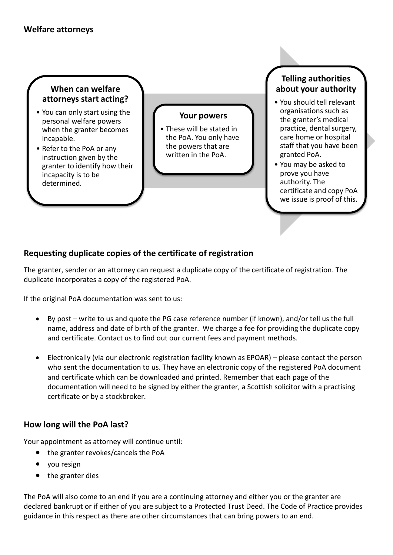## **When can welfare attorneys start acting?**

- You can only start using the personal welfare powers when the granter becomes incapable.
- Refer to the PoA or any instruction given by the granter to identify how their incapacity is to be determined.

#### **Your powers**

• These will be stated in the PoA. You only have the powers that are written in the PoA.

#### **Telling authorities about your authority**

- You should tell relevant organisations such as the granter's medical practice, dental surgery, care home or hospital staff that you have been granted PoA.
- You may be asked to prove you have authority. The certificate and copy PoA we issue is proof of this.

# **Requesting duplicate copies of the certificate of registration**

The granter, sender or an attorney can request a duplicate copy of the certificate of registration. The duplicate incorporates a copy of the registered PoA.

If the original PoA documentation was sent to us:

- By post [write to us](http://www.publicguardian-scotland.gov.uk/general/contact-us) and quote the PG case reference number (if known), and/or tell us the full name, address and date of birth of the granter. We charge a fee for providing the duplicate copy and certificate. Contact us to find out our current fees and payment methods.
- Electronically (via our electronic registration facility known as EPOAR) please contact the person who sent the documentation to us. They have an electronic copy of the registered PoA document and certificate which can be downloaded and printed. Remember that each page of the documentation will need to be signed by either the granter, a Scottish solicitor with a practising certificate or by a stockbroker.

### **How long will the PoA last?**

Your appointment as attorney will continue until:

- the granter revokes/cancels the PoA
- you resign
- the granter dies

The PoA will also come to an end if you are a continuing attorney and either you or the granter are declared bankrupt or if either of you are subject to a Protected Trust Deed. The Code of Practice provides guidance in this respect as there are other circumstances that can bring powers to an end.